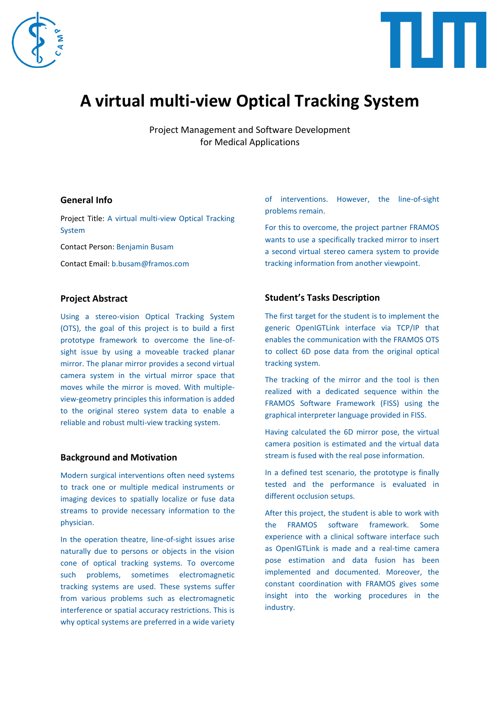



# **A virtual multi-view Optical Tracking System**

Project Management and Software Development for Medical Applications

## **General Info**

Project Title: A virtual multi-view Optical Tracking System

Contact Person: Benjamin Busam

Contact Email: b.busam@framos.com

## **Project Abstract**

Using a stereo-vision Optical Tracking System (OTS), the goal of this project is to build a first prototype framework to overcome the line-ofsight issue by using a moveable tracked planar mirror. The planar mirror provides a second virtual camera system in the virtual mirror space that moves while the mirror is moved. With multipleview-geometry principles this information is added to the original stereo system data to enable a reliable and robust multi-view tracking system.

#### **Background and Motivation**

Modern surgical interventions often need systems to track one or multiple medical instruments or imaging devices to spatially localize or fuse data streams to provide necessary information to the physician.

In the operation theatre, line-of-sight issues arise naturally due to persons or objects in the vision cone of optical tracking systems. To overcome such problems, sometimes electromagnetic tracking systems are used. These systems suffer from various problems such as electromagnetic interference or spatial accuracy restrictions. This is why optical systems are preferred in a wide variety of interventions. However, the line-of-sight problems remain.

For this to overcome, the project partner FRAMOS wants to use a specifically tracked mirror to insert a second virtual stereo camera system to provide tracking information from another viewpoint.

# **Student's Tasks Description**

The first target for the student is to implement the generic OpenIGTLink interface via TCP/IP that enables the communication with the FRAMOS OTS to collect 6D pose data from the original optical tracking system.

The tracking of the mirror and the tool is then realized with a dedicated sequence within the FRAMOS Software Framework (FISS) using the graphical interpreter language provided in FISS.

Having calculated the 6D mirror pose, the virtual camera position is estimated and the virtual data stream is fused with the real pose information.

In a defined test scenario, the prototype is finally tested and the performance is evaluated in different occlusion setups.

After this project, the student is able to work with the FRAMOS software framework. Some experience with a clinical software interface such as OpenIGTLink is made and a real-time camera pose estimation and data fusion has been implemented and documented. Moreover, the constant coordination with FRAMOS gives some insight into the working procedures in the industry.